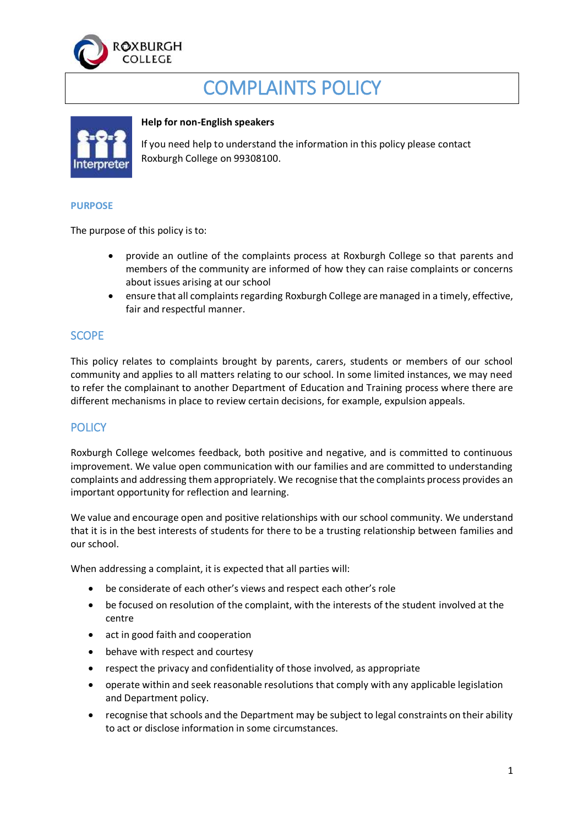

# COMPLAINTS POLICY



#### **Help for non-English speakers**

If you need help to understand the information in this policy please contact Roxburgh College on 99308100.

#### **PURPOSE**

The purpose of this policy is to:

- provide an outline of the complaints process at Roxburgh College so that parents and members of the community are informed of how they can raise complaints or concerns about issues arising at our school
- ensure that all complaints regarding Roxburgh College are managed in a timely, effective, fair and respectful manner.

#### **SCOPE**

This policy relates to complaints brought by parents, carers, students or members of our school community and applies to all matters relating to our school. In some limited instances, we may need to refer the complainant to another Department of Education and Training process where there are different mechanisms in place to review certain decisions, for example, expulsion appeals.

## **POLICY**

Roxburgh College welcomes feedback, both positive and negative, and is committed to continuous improvement. We value open communication with our families and are committed to understanding complaints and addressing them appropriately. We recognise that the complaints process provides an important opportunity for reflection and learning.

We value and encourage open and positive relationships with our school community. We understand that it is in the best interests of students for there to be a trusting relationship between families and our school.

When addressing a complaint, it is expected that all parties will:

- be considerate of each other's views and respect each other's role
- be focused on resolution of the complaint, with the interests of the student involved at the centre
- act in good faith and cooperation
- behave with respect and courtesy
- respect the privacy and confidentiality of those involved, as appropriate
- operate within and seek reasonable resolutions that comply with any applicable legislation and Department policy.
- recognise that schools and the Department may be subject to legal constraints on their ability to act or disclose information in some circumstances.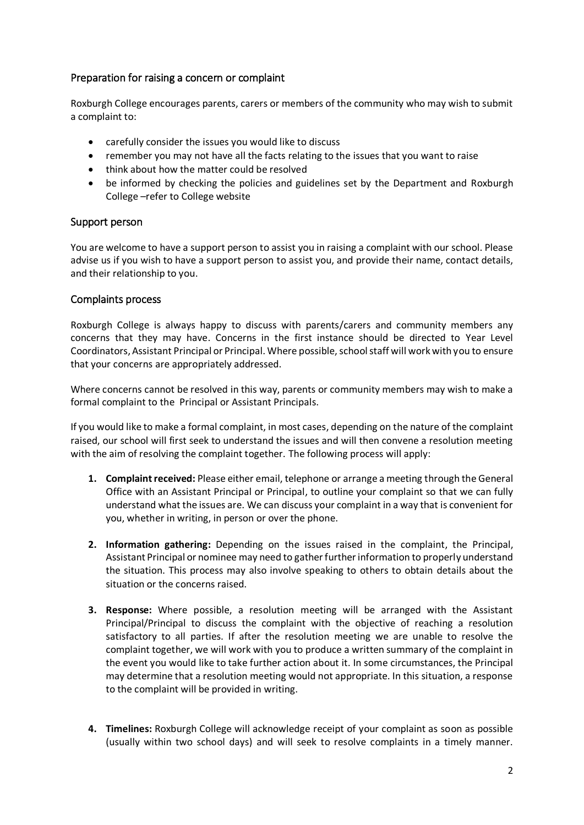## Preparation for raising a concern or complaint

Roxburgh College encourages parents, carers or members of the community who may wish to submit a complaint to:

- carefully consider the issues you would like to discuss
- remember you may not have all the facts relating to the issues that you want to raise
- think about how the matter could be resolved
- be informed by checking the policies and guidelines set by the Department and Roxburgh College –refer to College website

#### Support person

You are welcome to have a support person to assist you in raising a complaint with our school. Please advise us if you wish to have a support person to assist you, and provide their name, contact details, and their relationship to you.

#### Complaints process

Roxburgh College is always happy to discuss with parents/carers and community members any concerns that they may have. Concerns in the first instance should be directed to Year Level Coordinators, Assistant Principal or Principal. Where possible, school staff will work with you to ensure that your concerns are appropriately addressed.

Where concerns cannot be resolved in this way, parents or community members may wish to make a formal complaint to the Principal or Assistant Principals.

If you would like to make a formal complaint, in most cases, depending on the nature of the complaint raised, our school will first seek to understand the issues and will then convene a resolution meeting with the aim of resolving the complaint together. The following process will apply:

- **1. Complaint received:** Please either email, telephone or arrange a meeting through the General Office with an Assistant Principal or Principal, to outline your complaint so that we can fully understand what the issues are. We can discuss your complaint in a way that is convenient for you, whether in writing, in person or over the phone.
- **2. Information gathering:** Depending on the issues raised in the complaint, the Principal, Assistant Principal or nominee may need to gather further information to properly understand the situation. This process may also involve speaking to others to obtain details about the situation or the concerns raised.
- **3. Response:** Where possible, a resolution meeting will be arranged with the Assistant Principal/Principal to discuss the complaint with the objective of reaching a resolution satisfactory to all parties. If after the resolution meeting we are unable to resolve the complaint together, we will work with you to produce a written summary of the complaint in the event you would like to take further action about it. In some circumstances, the Principal may determine that a resolution meeting would not appropriate. In this situation, a response to the complaint will be provided in writing.
- **4. Timelines:** Roxburgh College will acknowledge receipt of your complaint as soon as possible (usually within two school days) and will seek to resolve complaints in a timely manner.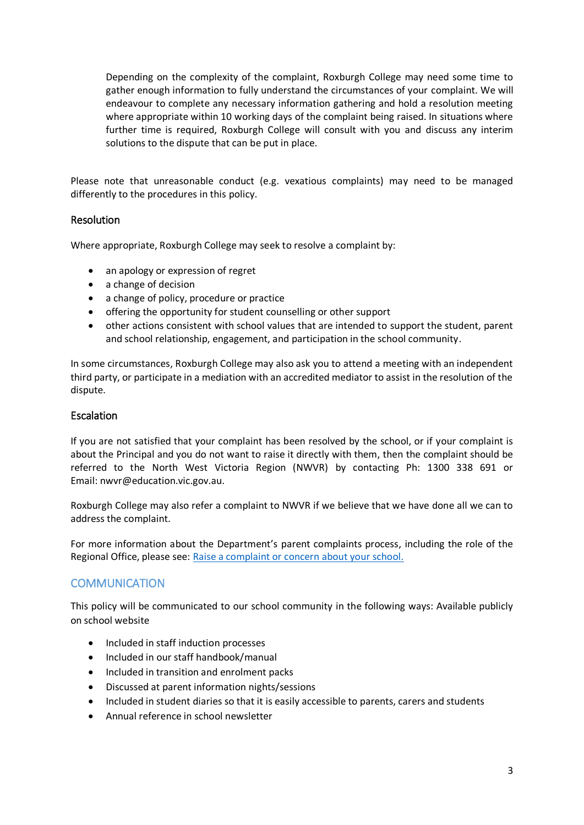Depending on the complexity of the complaint, Roxburgh College may need some time to gather enough information to fully understand the circumstances of your complaint. We will endeavour to complete any necessary information gathering and hold a resolution meeting where appropriate within 10 working days of the complaint being raised. In situations where further time is required, Roxburgh College will consult with you and discuss any interim solutions to the dispute that can be put in place.

Please note that unreasonable conduct (e.g. vexatious complaints) may need to be managed differently to the procedures in this policy.

#### Resolution

Where appropriate, Roxburgh College may seek to resolve a complaint by:

- an apology or expression of regret
- a change of decision
- a change of policy, procedure or practice
- offering the opportunity for student counselling or other support
- other actions consistent with school values that are intended to support the student, parent and school relationship, engagement, and participation in the school community.

In some circumstances, Roxburgh College may also ask you to attend a meeting with an independent third party, or participate in a mediation with an accredited mediator to assist in the resolution of the dispute.

#### Escalation

If you are not satisfied that your complaint has been resolved by the school, or if your complaint is about the Principal and you do not want to raise it directly with them, then the complaint should be referred to the North West Victoria Region (NWVR) by contacting Ph: 1300 338 691 or Email: nwvr@education.vic.gov.au.

Roxburgh College may also refer a complaint to NWVR if we believe that we have done all we can to address the complaint.

For more information about the Department's parent complaints process, including the role of the Regional Office, please see: [Raise a complaint or concern about your school.](https://www.vic.gov.au/raise-complaint-or-concern-about-your-school#speaking-to-your-school)

## **COMMUNICATION**

This policy will be communicated to our school community in the following ways: Available publicly on school website

- Included in staff induction processes
- Included in our staff handbook/manual
- Included in transition and enrolment packs
- Discussed at parent information nights/sessions
- Included in student diaries so that it is easily accessible to parents, carers and students
- Annual reference in school newsletter